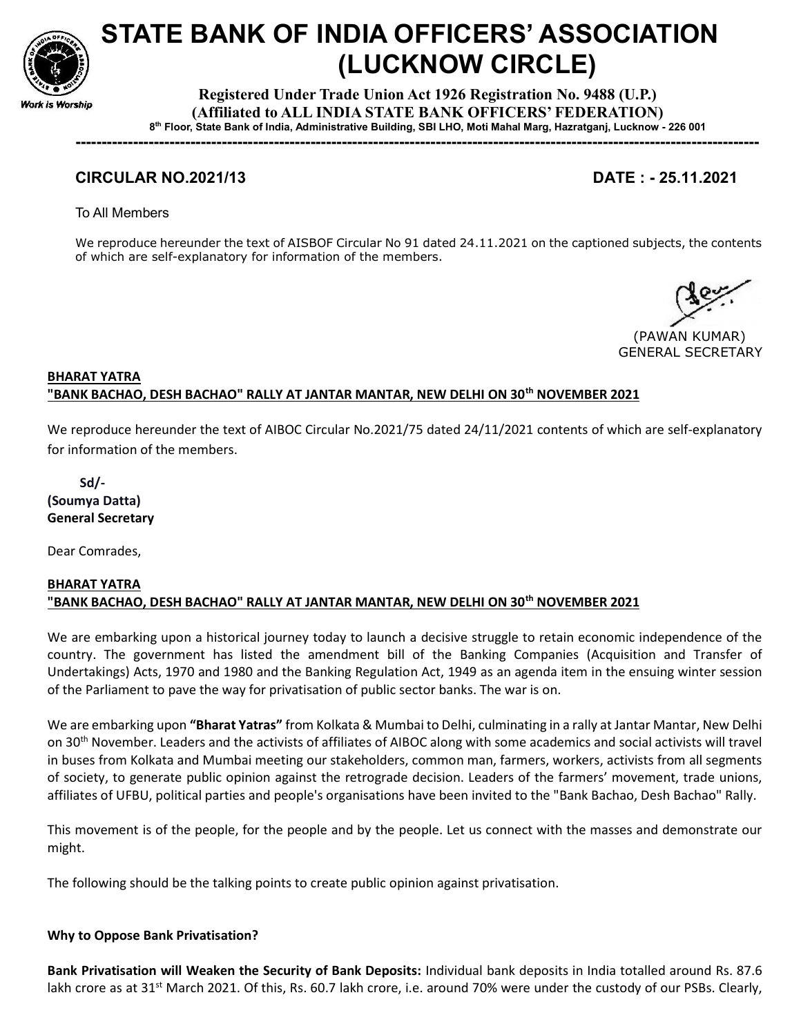

# STATE BANK OF INDIA OFFICERS' ASSOCIATION (LUCKNOW CIRCLE)

Registered Under Trade Union Act 1926 Registration No. 9488 (U.P.) (Affiliated to ALL INDIA STATE BANK OFFICERS' FEDERATION) 8 th Floor, State Bank of India, Administrative Building, SBI LHO, Moti Mahal Marg, Hazratganj, Lucknow - 226 001

-----------------------------------------------------------------------------------------------------------------------------------

# CIRCULAR NO.2021/13 DATE : - 25.11.2021

To All Members

We reproduce hereunder the text of AISBOF Circular No 91 dated 24.11.2021 on the captioned subjects, the contents of which are self-explanatory for information of the members.

 (PAWAN KUMAR) GENERAL SECRETARY

## BHARAT YATRA "BANK BACHAO, DESH BACHAO" RALLY AT JANTAR MANTAR, NEW DELHI ON 30<sup>th</sup> NOVEMBER 2021

We reproduce hereunder the text of AIBOC Circular No.2021/75 dated 24/11/2021 contents of which are self-explanatory for information of the members.

 Sd/- (Soumya Datta) General Secretary

Dear Comrades,

### BHARAT YATRA "BANK BACHAO, DESH BACHAO" RALLY AT JANTAR MANTAR, NEW DELHI ON 30<sup>th</sup> NOVEMBER 2021

We are embarking upon a historical journey today to launch a decisive struggle to retain economic independence of the country. The government has listed the amendment bill of the Banking Companies (Acquisition and Transfer of Undertakings) Acts, 1970 and 1980 and the Banking Regulation Act, 1949 as an agenda item in the ensuing winter session of the Parliament to pave the way for privatisation of public sector banks. The war is on.

We are embarking upon "Bharat Yatras" from Kolkata & Mumbai to Delhi, culminating in a rally at Jantar Mantar, New Delhi on 30th November. Leaders and the activists of affiliates of AIBOC along with some academics and social activists will travel in buses from Kolkata and Mumbai meeting our stakeholders, common man, farmers, workers, activists from all segments of society, to generate public opinion against the retrograde decision. Leaders of the farmers' movement, trade unions, affiliates of UFBU, political parties and people's organisations have been invited to the "Bank Bachao, Desh Bachao" Rally.

This movement is of the people, for the people and by the people. Let us connect with the masses and demonstrate our might.

The following should be the talking points to create public opinion against privatisation.

#### Why to Oppose Bank Privatisation?

Bank Privatisation will Weaken the Security of Bank Deposits: Individual bank deposits in India totalled around Rs. 87.6 lakh crore as at 31<sup>st</sup> March 2021. Of this, Rs. 60.7 lakh crore, i.e. around 70% were under the custody of our PSBs. Clearly,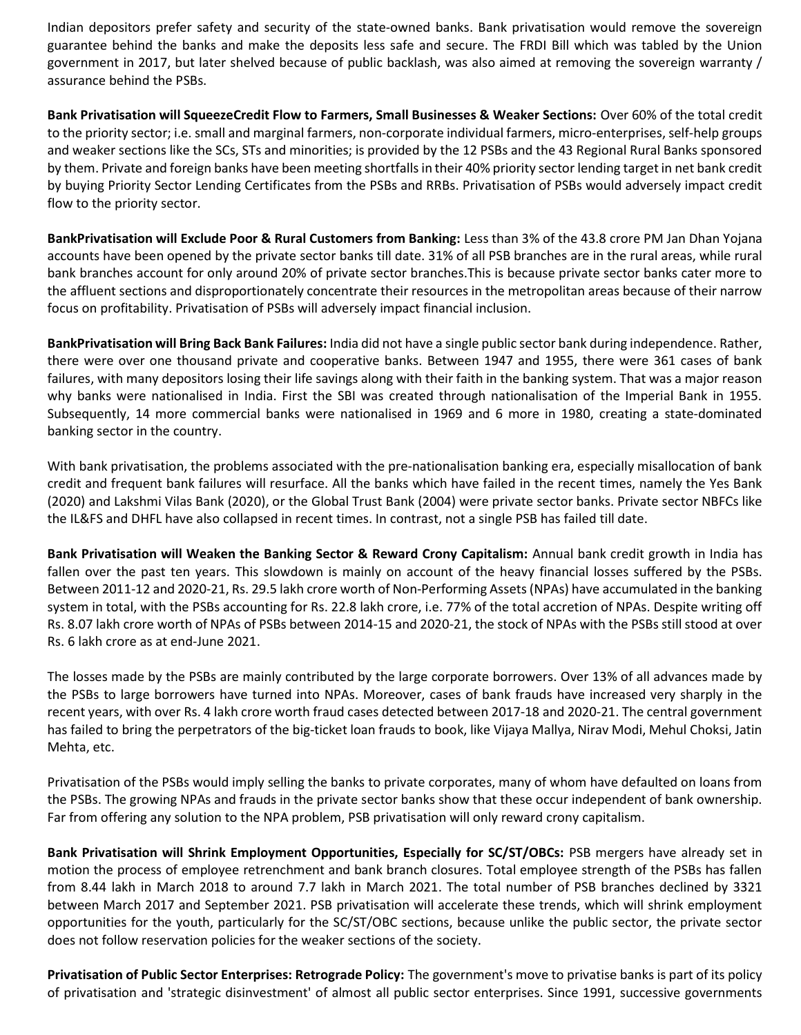Indian depositors prefer safety and security of the state-owned banks. Bank privatisation would remove the sovereign guarantee behind the banks and make the deposits less safe and secure. The FRDI Bill which was tabled by the Union government in 2017, but later shelved because of public backlash, was also aimed at removing the sovereign warranty / assurance behind the PSBs.

Bank Privatisation will SqueezeCredit Flow to Farmers, Small Businesses & Weaker Sections: Over 60% of the total credit to the priority sector; i.e. small and marginal farmers, non-corporate individual farmers, micro-enterprises, self-help groups and weaker sections like the SCs, STs and minorities; is provided by the 12 PSBs and the 43 Regional Rural Banks sponsored by them. Private and foreign banks have been meeting shortfalls in their 40% priority sector lending target in net bank credit by buying Priority Sector Lending Certificates from the PSBs and RRBs. Privatisation of PSBs would adversely impact credit flow to the priority sector.

BankPrivatisation will Exclude Poor & Rural Customers from Banking: Less than 3% of the 43.8 crore PM Jan Dhan Yojana accounts have been opened by the private sector banks till date. 31% of all PSB branches are in the rural areas, while rural bank branches account for only around 20% of private sector branches.This is because private sector banks cater more to the affluent sections and disproportionately concentrate their resources in the metropolitan areas because of their narrow focus on profitability. Privatisation of PSBs will adversely impact financial inclusion.

BankPrivatisation will Bring Back Bank Failures: India did not have a single public sector bank during independence. Rather, there were over one thousand private and cooperative banks. Between 1947 and 1955, there were 361 cases of bank failures, with many depositors losing their life savings along with their faith in the banking system. That was a major reason why banks were nationalised in India. First the SBI was created through nationalisation of the Imperial Bank in 1955. Subsequently, 14 more commercial banks were nationalised in 1969 and 6 more in 1980, creating a state-dominated banking sector in the country.

With bank privatisation, the problems associated with the pre-nationalisation banking era, especially misallocation of bank credit and frequent bank failures will resurface. All the banks which have failed in the recent times, namely the Yes Bank (2020) and Lakshmi Vilas Bank (2020), or the Global Trust Bank (2004) were private sector banks. Private sector NBFCs like the IL&FS and DHFL have also collapsed in recent times. In contrast, not a single PSB has failed till date.

Bank Privatisation will Weaken the Banking Sector & Reward Crony Capitalism: Annual bank credit growth in India has fallen over the past ten years. This slowdown is mainly on account of the heavy financial losses suffered by the PSBs. Between 2011-12 and 2020-21, Rs. 29.5 lakh crore worth of Non-Performing Assets (NPAs) have accumulated in the banking system in total, with the PSBs accounting for Rs. 22.8 lakh crore, i.e. 77% of the total accretion of NPAs. Despite writing off Rs. 8.07 lakh crore worth of NPAs of PSBs between 2014-15 and 2020-21, the stock of NPAs with the PSBs still stood at over Rs. 6 lakh crore as at end-June 2021.

The losses made by the PSBs are mainly contributed by the large corporate borrowers. Over 13% of all advances made by the PSBs to large borrowers have turned into NPAs. Moreover, cases of bank frauds have increased very sharply in the recent years, with over Rs. 4 lakh crore worth fraud cases detected between 2017-18 and 2020-21. The central government has failed to bring the perpetrators of the big-ticket loan frauds to book, like Vijaya Mallya, Nirav Modi, Mehul Choksi, Jatin Mehta, etc.

Privatisation of the PSBs would imply selling the banks to private corporates, many of whom have defaulted on loans from the PSBs. The growing NPAs and frauds in the private sector banks show that these occur independent of bank ownership. Far from offering any solution to the NPA problem, PSB privatisation will only reward crony capitalism.

Bank Privatisation will Shrink Employment Opportunities, Especially for SC/ST/OBCs: PSB mergers have already set in motion the process of employee retrenchment and bank branch closures. Total employee strength of the PSBs has fallen from 8.44 lakh in March 2018 to around 7.7 lakh in March 2021. The total number of PSB branches declined by 3321 between March 2017 and September 2021. PSB privatisation will accelerate these trends, which will shrink employment opportunities for the youth, particularly for the SC/ST/OBC sections, because unlike the public sector, the private sector does not follow reservation policies for the weaker sections of the society.

Privatisation of Public Sector Enterprises: Retrograde Policy: The government's move to privatise banks is part of its policy of privatisation and 'strategic disinvestment' of almost all public sector enterprises. Since 1991, successive governments